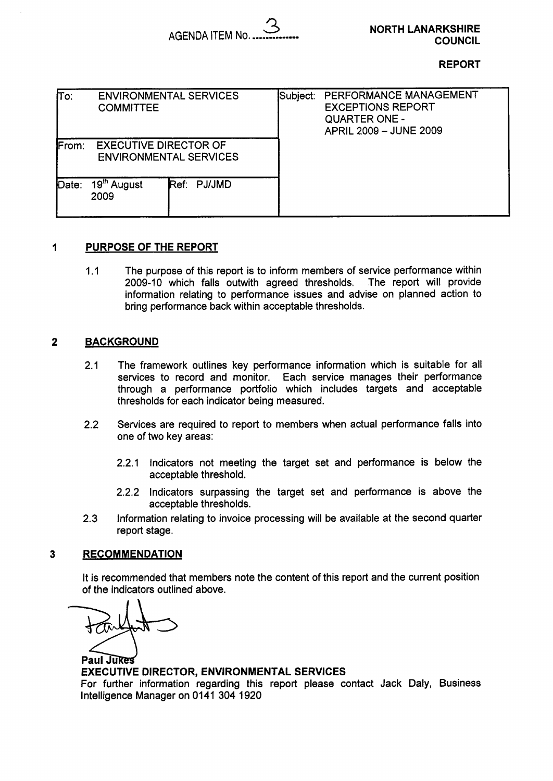AGENDA ITEM NO ............... *3* 

**NORTH LANARKSHIRE COUNCIL** 

#### **REPORT**

| To:                                                                    | <b>COMMITTEE</b>                | <b>ENVIRONMENTAL SERVICES</b> | Subject: | PERFORMANCE MANAGEMENT<br><b>EXCEPTIONS REPORT</b><br><b>QUARTER ONE -</b><br>APRIL 2009 - JUNE 2009 |
|------------------------------------------------------------------------|---------------------------------|-------------------------------|----------|------------------------------------------------------------------------------------------------------|
| <b>EXECUTIVE DIRECTOR OF</b><br>From:<br><b>ENVIRONMENTAL SERVICES</b> |                                 |                               |          |                                                                                                      |
| Date:                                                                  | 19 <sup>th</sup> August<br>2009 | Ref: PJ/JMD                   |          |                                                                                                      |

### **1 PURPOSE OF THE REPORT**

1.1 The purpose of this report is to inform members of service performance within 2009-10 which falls outwith agreed thresholds. The report will provide information relating to performance issues and advise on planned action to bring performance back within acceptable thresholds.

### **2 BACKGROUND**

- 2.1 The framework outlines key performance information which is suitable for all services to record and monitor. Each service manages their performance through a performance portfolio which includes targets and acceptable thresholds for each indicator being measured.
- 2.2 Services are required to report to members when actual performance falls into one of two key areas:
	- 2.2.1 Indicators not meeting the target set and performance is below the acceptable threshold.
	- 2.2.2 Indicators surpassing the target set and performance is above the acceptable thresholds.
- 2.3 Information relating to invoice processing will be available at the second quarter report stage.

### **3 RECOMMENDATION**

It is recommended that members note the content of this report and the current position of the indicators outlined above.

of the indicators<br> **7&** *Paul Jukes*<br>
EXECUTIVE DIR<br>
For further information

### **EXECUTIVE DIRECTOR, ENVIRONMENTAL SERVICES**

For further information regarding this report please contact Jack Daly, Business Intelligence Manager on 0141 304 1920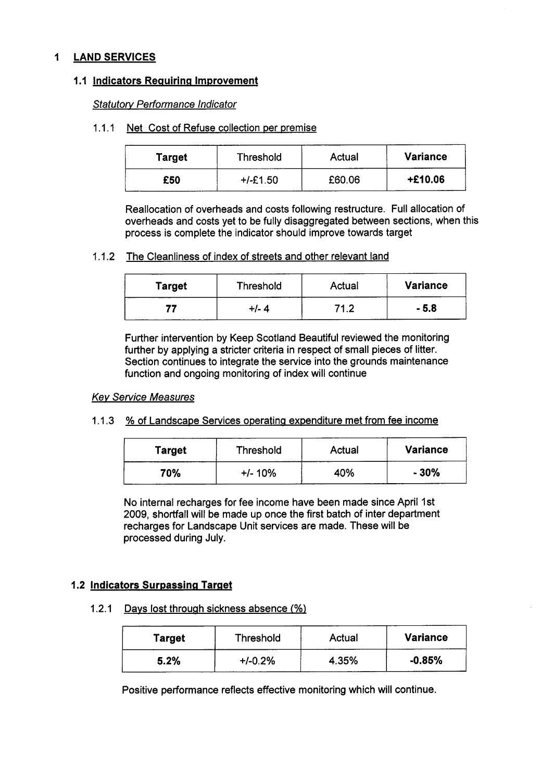# **1 LAND SERVICES**

### **1.1 Indicators Requiring Improvement**

*Statutow Performance lndicator* 

### 1.1.1 Net Cost of Refuse collection per premise

| Target | Threshold  | Actual | <b>Variance</b> |
|--------|------------|--------|-----------------|
| £50    | $+/-E1.50$ | £60.06 | $+£10.06$       |

Reallocation of overheads and costs following restructure. Full allocation of overheads and costs yet to be fully disaggregated between sections, when this process is complete the indicator should improve towards target

### 1.1.2 The Cleanliness of index of streets and other relevant land

| <b>Target</b> | Threshold | Actual | <b>Variance</b> |
|---------------|-----------|--------|-----------------|
|               | +/- 4     | 71 2   | - 5.8           |

Further intervention by Keep Scotland Beautiful reviewed the monitoring further by applying a stricter criteria in respect of small pieces of litter. Section continues to integrate the service into the grounds maintenance function and ongoing monitoring of index will continue

### *Kev Service Measures*

# 1.1.3 % of Landscape Services operating expenditure met from fee income

| Target | Threshold | Actual | <b>Variance</b> |
|--------|-----------|--------|-----------------|
| 70%    | $+/- 10%$ | 40%    | $-30%$          |

No internal recharges for fee income have been made since April 1st 2009, shortfall will be made up once the first batch of inter department recharges for Landscape Unit services are made. These will be processed during July.

# **1.2 Indicators Surpassing Target**

1.2.1 Davs lost through sickness absence **C%)** 

| <b>Target</b> | <b>Threshold</b> | Actual | <b>Variance</b> |
|---------------|------------------|--------|-----------------|
| 5.2%          | $+/-0.2%$        | 4.35%  | $-0.85%$        |

Positive performance reflects effective monitoring which will continue.